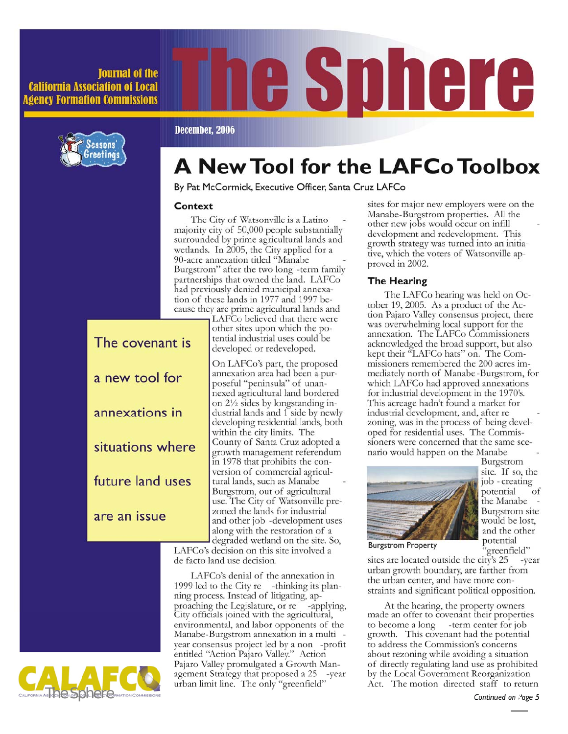#### **Iournal of the California Association of Local Agency Formation Commissions**



# e sphere

#### December, 2006

## **A New Tool for the LAFCo Toolbox**

By Pat McCormick, Executive Officer, Santa Cruz LAFCo

#### Context

The covenant is

a new tool for

annexations in

situations where

future land uses

are an issue

The City of Watsonville is a Latino majority city of 50,000 people substantially surrounded by prime agricultural lands and wetlands. In 2005, the City applied for a 90-acre annexation titled "Manabe Burgstrom" after the two long -term family partnerships that owned the land. LAFCo had previously denied municipal annexation of these lands in 1977 and 1997 because they are prime agricultural lands and

> LAFCo believed that there were other sites upon which the potential industrial uses could be developed or redeveloped.

On LAFCo's part, the proposed annexation area had been a purposeful "peninsula" of unannexed agricultural land bordered on 21/2 sides by longstanding industrial lands and 1 side by newly developing residential lands, both within the city limits. The County of Santa Cruz adopted a growth management referendum in 1978 that prohibits the conversion of commercial agricultural lands, such as Manabe Burgstrom, out of agricultural use. The City of Watsonville prezoned the lands for industrial and other job -development uses along with the restoration of a degraded wetland on the site. So,

LAFCo's decision on this site involved a de facto land use decision.

LAFCo's denial of the annexation in 1999 led to the City re -thinking its planning process. Instead of litigating, approaching the Legislature, or re -applying, City officials joined with the agricultural, environmental, and labor opponents of the Manabe-Burgstrom annexation in a multi year consensus project led by a non -profit entitled "Action Pajaro Valley." Action Pajaro Valley promulgated a Growth Management Strategy that proposed a 25 -year urban limit line. The only "greenfield"

sites for major new employers were on the Manabe-Burgstrom properties. All the other new jobs would occur on infill development and redevelopment. This growth strategy was turned into an initiative, which the voters of Watsonville approved in 2002.

#### **The Hearing**

The LAFCo hearing was held on October 19, 2005. As a product of the Action Pajaro Valley consensus project, there was overwhelming local support for the annexation. The LAFCo Commissioners acknowledged the broad support, but also kept their "LAFCo hats" on. The Commissioners remembered the 200 acres immediately north of Manabe-Burgstrom, for which LAFCo had approved annexations for industrial development in the 1970's. This acreage hadn't found a market for industrial development, and, after re zoning, was in the process of being developed for residential uses. The Commissioners were concerned that the same scenario would happen on the Manabe



Burgstrom site. If so, the job - creating potential of the Manabe Burgstrom site would be lost, and the other potential 'greenfield"

**Burgstrom Property** 

sites are located outside the city's 25 -year urban growth boundary, are farther from the urban center, and have more constraints and significant political opposition.

At the hearing, the property owners made an offer to covenant their properties to become a long -term center for job growth. This covenant had the potential to address the Commission's concerns about rezoning while avoiding a situation of directly regulating land use as prohibited by the Local Government Reorganization Act. The motion directed staff to return